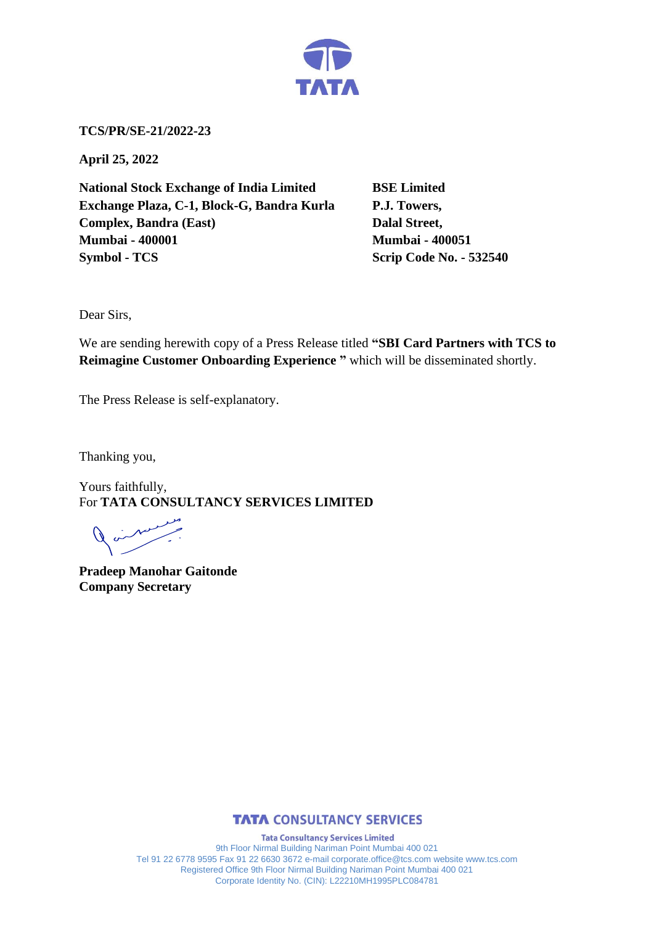

**TCS/PR/SE-21/2022-23**

**April 25, 2022**

**National Stock Exchange of India Limited BSE Limited Exchange Plaza, C-1, Block-G, Bandra Kurla P.J. Towers, Complex, Bandra (East)** Dalal Street, **Mumbai - 400001 Mumbai - 400051 Symbol - TCS Scrip Code No. - 532540** 

Dear Sirs,

We are sending herewith copy of a Press Release titled **"SBI Card Partners with TCS to Reimagine Customer Onboarding Experience "** which will be disseminated shortly.

The Press Release is self-explanatory.

Thanking you,

Yours faithfully, For **TATA CONSULTANCY SERVICES LIMITED**

**Pradeep Manohar Gaitonde Company Secretary**



**Tata Consultancy Services Limited** 9th Floor Nirmal Building Nariman Point Mumbai 400 021 Tel 91 22 6778 9595 Fax 91 22 6630 3672 e-mail corporate.office@tcs.com website www.tcs.com Registered Office 9th Floor Nirmal Building Nariman Point Mumbai 400 021 Corporate Identity No. (CIN): L22210MH1995PLC084781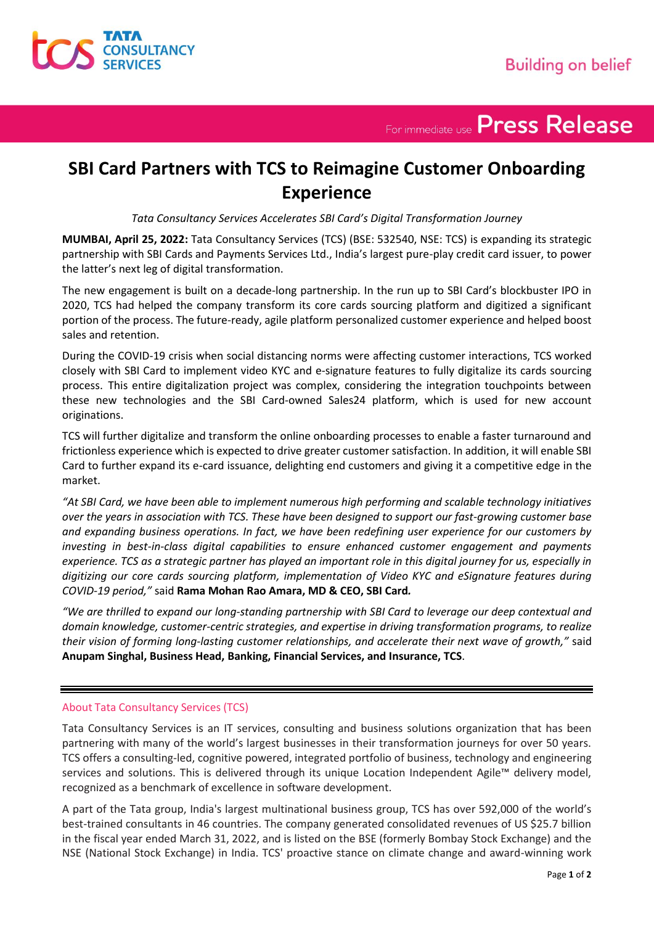

For immediate use Press Release

## **SBI Card Partners with TCS to Reimagine Customer Onboarding Experience**

*Tata Consultancy Services Accelerates SBI Card's Digital Transformation Journey*

**MUMBAI, April 25, 2022:** Tata Consultancy Services (TCS) (BSE: 532540, NSE: TCS) is expanding its strategic partnership with SBI Cards and Payments Services Ltd., India's largest pure-play credit card issuer, to power the latter's next leg of digital transformation.

The new engagement is built on a decade-long partnership. In the run up to SBI Card's blockbuster IPO in 2020, TCS had helped the company transform its core cards sourcing platform and digitized a significant portion of the process. The future-ready, agile platform personalized customer experience and helped boost sales and retention.

During the COVID-19 crisis when social distancing norms were affecting customer interactions, TCS worked closely with SBI Card to implement video KYC and e-signature features to fully digitalize its cards sourcing process. This entire digitalization project was complex, considering the integration touchpoints between these new technologies and the SBI Card-owned Sales24 platform, which is used for new account originations.

TCS will further digitalize and transform the online onboarding processes to enable a faster turnaround and frictionless experience which is expected to drive greater customer satisfaction. In addition, it will enable SBI Card to further expand its e-card issuance, delighting end customers and giving it a competitive edge in the market.

*"At SBI Card, we have been able to implement numerous high performing and scalable technology initiatives over the years in association with TCS. These have been designed to support our fast-growing customer base and expanding business operations. In fact, we have been redefining user experience for our customers by investing in best-in-class digital capabilities to ensure enhanced customer engagement and payments experience. TCS as a strategic partner has played an important role in this digital journey for us, especially in digitizing our core cards sourcing platform, implementation of Video KYC and eSignature features during COVID-19 period,"* said **Rama Mohan Rao Amara, MD & CEO, SBI Card***.*

*"We are thrilled to expand our long-standing partnership with SBI Card to leverage our deep contextual and domain knowledge, customer-centric strategies, and expertise in driving transformation programs, to realize their vision of forming long-lasting customer relationships, and accelerate their next wave of growth,"* said **Anupam Singhal, Business Head, Banking, Financial Services, and Insurance, TCS**.

## About Tata Consultancy Services (TCS)

Tata Consultancy Services is an IT services, consulting and business solutions organization that has been partnering with many of the world's largest businesses in their transformation journeys for over 50 years. TCS offers a consulting-led, cognitive powered, integrated portfolio of business, technology and engineering services and solutions. This is delivered through its unique Location Independent Agile™ delivery model, recognized as a benchmark of excellence in software development.

A part of the Tata group, India's largest multinational business group, TCS has over 592,000 of the world's best-trained consultants in 46 countries. The company generated consolidated revenues of US \$25.7 billion in the fiscal year ended March 31, 2022, and is listed on the BSE (formerly Bombay Stock Exchange) and the NSE (National Stock Exchange) in India. TCS' proactive stance on climate change and award-winning work